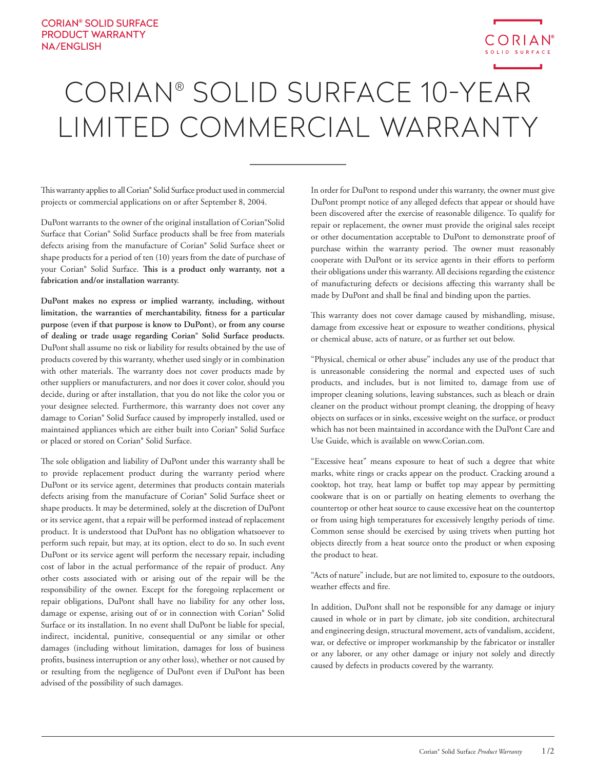

## CORIAN® SOLID SURFACE 10-YEAR LIMITED COMMERCIAL WARRANTY

This warranty applies to all Corian® Solid Surface product used in commercial projects or commercial applications on or after September 8, 2004.

DuPont warrants to the owner of the original installation of Corian®Solid Surface that Corian® Solid Surface products shall be free from materials defects arising from the manufacture of Corian® Solid Surface sheet or shape products for a period of ten (10) years from the date of purchase of your Corian® Solid Surface. **This is a product only warranty, not a fabrication and/or installation warranty.** 

**DuPont makes no express or implied warranty, including, without limitation, the warranties of merchantability, fitness for a particular purpose (even if that purpose is know to DuPont), or from any course of dealing or trade usage regarding Corian® Solid Surface products.** DuPont shall assume no risk or liability for results obtained by the use of products covered by this warranty, whether used singly or in combination with other materials. The warranty does not cover products made by other suppliers or manufacturers, and nor does it cover color, should you decide, during or after installation, that you do not like the color you or your designee selected. Furthermore, this warranty does not cover any damage to Corian® Solid Surface caused by improperly installed, used or maintained appliances which are either built into Corian® Solid Surface or placed or stored on Corian® Solid Surface.

The sole obligation and liability of DuPont under this warranty shall be to provide replacement product during the warranty period where DuPont or its service agent, determines that products contain materials defects arising from the manufacture of Corian® Solid Surface sheet or shape products. It may be determined, solely at the discretion of DuPont or its service agent, that a repair will be performed instead of replacement product. It is understood that DuPont has no obligation whatsoever to perform such repair, but may, at its option, elect to do so. In such event DuPont or its service agent will perform the necessary repair, including cost of labor in the actual performance of the repair of product. Any other costs associated with or arising out of the repair will be the responsibility of the owner. Except for the foregoing replacement or repair obligations, DuPont shall have no liability for any other loss, damage or expense, arising out of or in connection with Corian® Solid Surface or its installation. In no event shall DuPont be liable for special, indirect, incidental, punitive, consequential or any similar or other damages (including without limitation, damages for loss of business profits, business interruption or any other loss), whether or not caused by or resulting from the negligence of DuPont even if DuPont has been advised of the possibility of such damages.

In order for DuPont to respond under this warranty, the owner must give DuPont prompt notice of any alleged defects that appear or should have been discovered after the exercise of reasonable diligence. To qualify for repair or replacement, the owner must provide the original sales receipt or other documentation acceptable to DuPont to demonstrate proof of purchase within the warranty period. The owner must reasonably cooperate with DuPont or its service agents in their efforts to perform their obligations under this warranty. All decisions regarding the existence of manufacturing defects or decisions affecting this warranty shall be made by DuPont and shall be final and binding upon the parties.

This warranty does not cover damage caused by mishandling, misuse, damage from excessive heat or exposure to weather conditions, physical or chemical abuse, acts of nature, or as further set out below.

"Physical, chemical or other abuse" includes any use of the product that is unreasonable considering the normal and expected uses of such products, and includes, but is not limited to, damage from use of improper cleaning solutions, leaving substances, such as bleach or drain cleaner on the product without prompt cleaning, the dropping of heavy objects on surfaces or in sinks, excessive weight on the surface, or product which has not been maintained in accordance with the DuPont Care and Use Guide, which is available on www.Corian.com.

"Excessive heat" means exposure to heat of such a degree that white marks, white rings or cracks appear on the product. Cracking around a cooktop, hot tray, heat lamp or buffet top may appear by permitting cookware that is on or partially on heating elements to overhang the countertop or other heat source to cause excessive heat on the countertop or from using high temperatures for excessively lengthy periods of time. Common sense should be exercised by using trivets when putting hot objects directly from a heat source onto the product or when exposing the product to heat.

"Acts of nature" include, but are not limited to, exposure to the outdoors, weather effects and fire.

In addition, DuPont shall not be responsible for any damage or injury caused in whole or in part by climate, job site condition, architectural and engineering design, structural movement, acts of vandalism, accident, war, or defective or improper workmanship by the fabricator or installer or any laborer, or any other damage or injury not solely and directly caused by defects in products covered by the warranty.